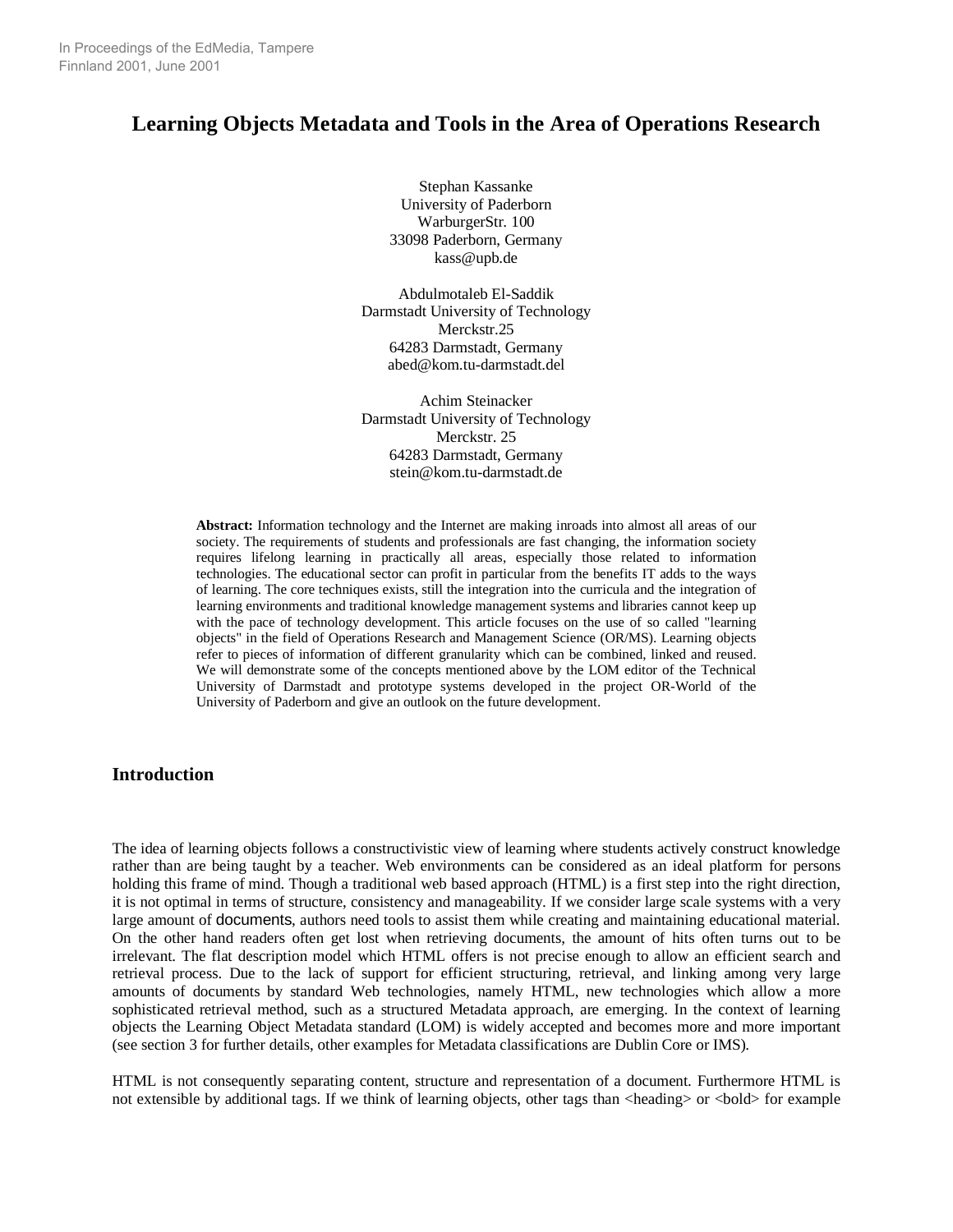# **Learning Objects Metadata and Tools in the Area of Operations Research**

Stephan Kassanke University of Paderborn WarburgerStr. 100 33098 Paderborn, Germany kass@upb.de

Abdulmotaleb El-Saddik Darmstadt University of Technology Merckstr.25 64283 Darmstadt, Germany abed@kom.tu-darmstadt.del

Achim Steinacker Darmstadt University of Technology Merckstr. 25 64283 Darmstadt, Germany stein@kom.tu-darmstadt.de

**Abstract:** Information technology and the Internet are making inroads into almost all areas of our society. The requirements of students and professionals are fast changing, the information society requires lifelong learning in practically all areas, especially those related to information technologies. The educational sector can profit in particular from the benefits IT adds to the ways of learning. The core techniques exists, still the integration into the curricula and the integration of learning environments and traditional knowledge management systems and libraries cannot keep up with the pace of technology development. This article focuses on the use of so called "learning objects" in the field of Operations Research and Management Science (OR/MS). Learning objects refer to pieces of information of different granularity which can be combined, linked and reused. We will demonstrate some of the concepts mentioned above by the LOM editor of the Technical University of Darmstadt and prototype systems developed in the project OR-World of the University of Paderborn and give an outlook on the future development.

## **Introduction**

The idea of learning objects follows a constructivistic view of learning where students actively construct knowledge rather than are being taught by a teacher. Web environments can be considered as an ideal platform for persons holding this frame of mind. Though a traditional web based approach (HTML) is a first step into the right direction, it is not optimal in terms of structure, consistency and manageability. If we consider large scale systems with a very large amount of documents, authors need tools to assist them while creating and maintaining educational material. On the other hand readers often get lost when retrieving documents, the amount of hits often turns out to be irrelevant. The flat description model which HTML offers is not precise enough to allow an efficient search and retrieval process. Due to the lack of support for efficient structuring, retrieval, and linking among very large amounts of documents by standard Web technologies, namely HTML, new technologies which allow a more sophisticated retrieval method, such as a structured Metadata approach, are emerging. In the context of learning objects the Learning Object Metadata standard (LOM) is widely accepted and becomes more and more important (see section 3 for further details, other examples for Metadata classifications are Dublin Core or IMS).

HTML is not consequently separating content, structure and representation of a document. Furthermore HTML is not extensible by additional tags. If we think of learning objects, other tags than <heading> or <br/> <br/>cloud> for example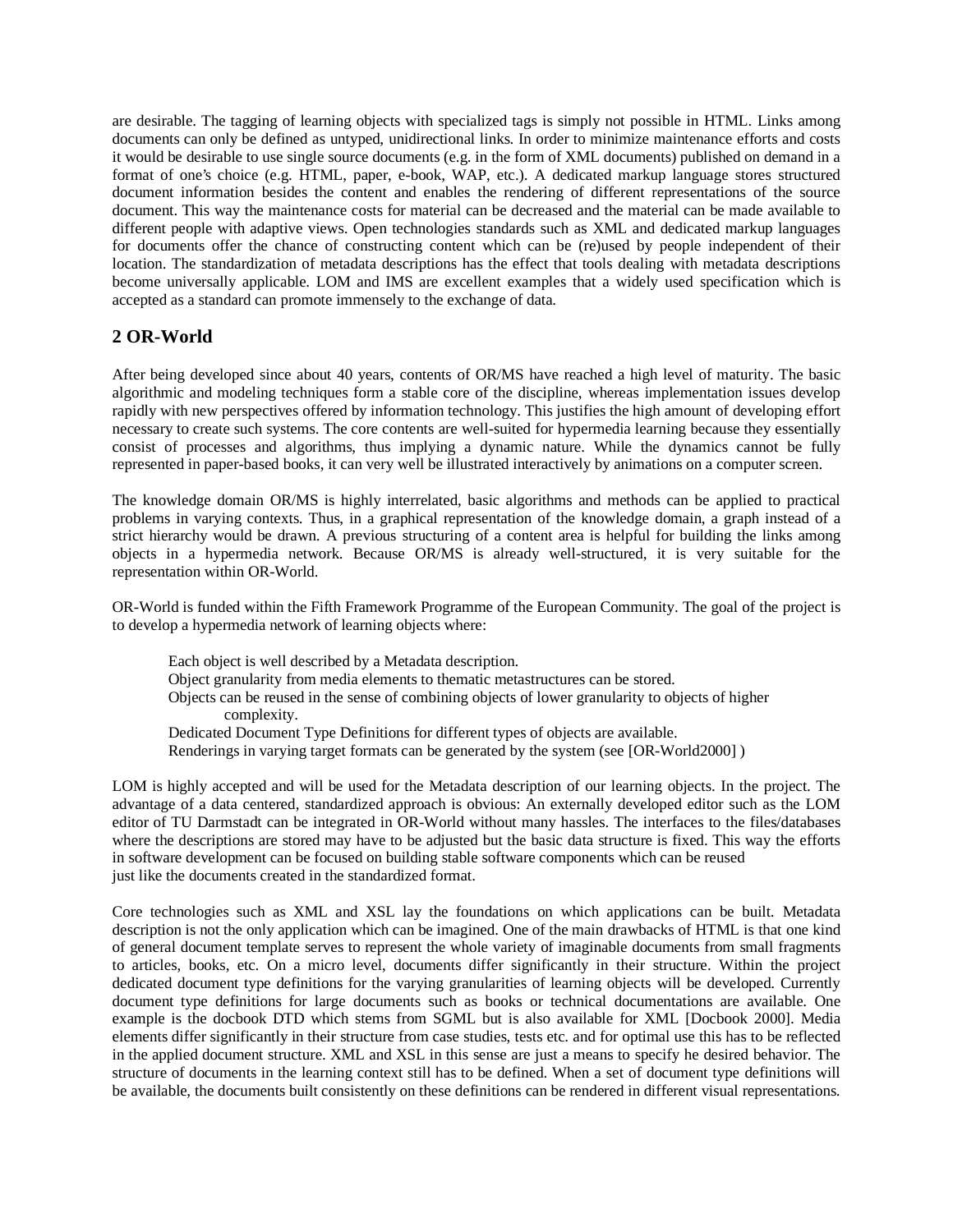are desirable. The tagging of learning objects with specialized tags is simply not possible in HTML. Links among documents can only be defined as untyped, unidirectional links. In order to minimize maintenance efforts and costs it would be desirable to use single source documents (e.g. in the form of XML documents) published on demand in a format of one's choice (e.g. HTML, paper, e-book, WAP, etc.). A dedicated markup language stores structured document information besides the content and enables the rendering of different representations of the source document. This way the maintenance costs for material can be decreased and the material can be made available to different people with adaptive views. Open technologies standards such as XML and dedicated markup languages for documents offer the chance of constructing content which can be (re)used by people independent of their location. The standardization of metadata descriptions has the effect that tools dealing with metadata descriptions become universally applicable. LOM and IMS are excellent examples that a widely used specification which is accepted as a standard can promote immensely to the exchange of data.

## **2 OR-World**

After being developed since about 40 years, contents of OR/MS have reached a high level of maturity. The basic algorithmic and modeling techniques form a stable core of the discipline, whereas implementation issues develop rapidly with new perspectives offered by information technology. This justifies the high amount of developing effort necessary to create such systems. The core contents are well-suited for hypermedia learning because they essentially consist of processes and algorithms, thus implying a dynamic nature. While the dynamics cannot be fully represented in paper-based books, it can very well be illustrated interactively by animations on a computer screen.

The knowledge domain OR/MS is highly interrelated, basic algorithms and methods can be applied to practical problems in varying contexts. Thus, in a graphical representation of the knowledge domain, a graph instead of a strict hierarchy would be drawn. A previous structuring of a content area is helpful for building the links among objects in a hypermedia network. Because OR/MS is already well-structured, it is very suitable for the representation within OR-World.

OR-World is funded within the Fifth Framework Programme of the European Community. The goal of the project is to develop a hypermedia network of learning objects where:

Each object is well described by a Metadata description. Object granularity from media elements to thematic metastructures can be stored. Objects can be reused in the sense of combining objects of lower granularity to objects of higher complexity. Dedicated Document Type Definitions for different types of objects are available. Renderings in varying target formats can be generated by the system (see [OR-World2000] )

LOM is highly accepted and will be used for the Metadata description of our learning objects. In the project. The advantage of a data centered, standardized approach is obvious: An externally developed editor such as the LOM editor of TU Darmstadt can be integrated in OR-World without many hassles. The interfaces to the files/databases where the descriptions are stored may have to be adjusted but the basic data structure is fixed. This way the efforts in software development can be focused on building stable software components which can be reused just like the documents created in the standardized format.

Core technologies such as XML and XSL lay the foundations on which applications can be built. Metadata description is not the only application which can be imagined. One of the main drawbacks of HTML is that one kind of general document template serves to represent the whole variety of imaginable documents from small fragments to articles, books, etc. On a micro level, documents differ significantly in their structure. Within the project dedicated document type definitions for the varying granularities of learning objects will be developed. Currently document type definitions for large documents such as books or technical documentations are available. One example is the docbook DTD which stems from SGML but is also available for XML [Docbook 2000]. Media elements differ significantly in their structure from case studies, tests etc. and for optimal use this has to be reflected in the applied document structure. XML and XSL in this sense are just a means to specify he desired behavior. The structure of documents in the learning context still has to be defined. When a set of document type definitions will be available, the documents built consistently on these definitions can be rendered in different visual representations.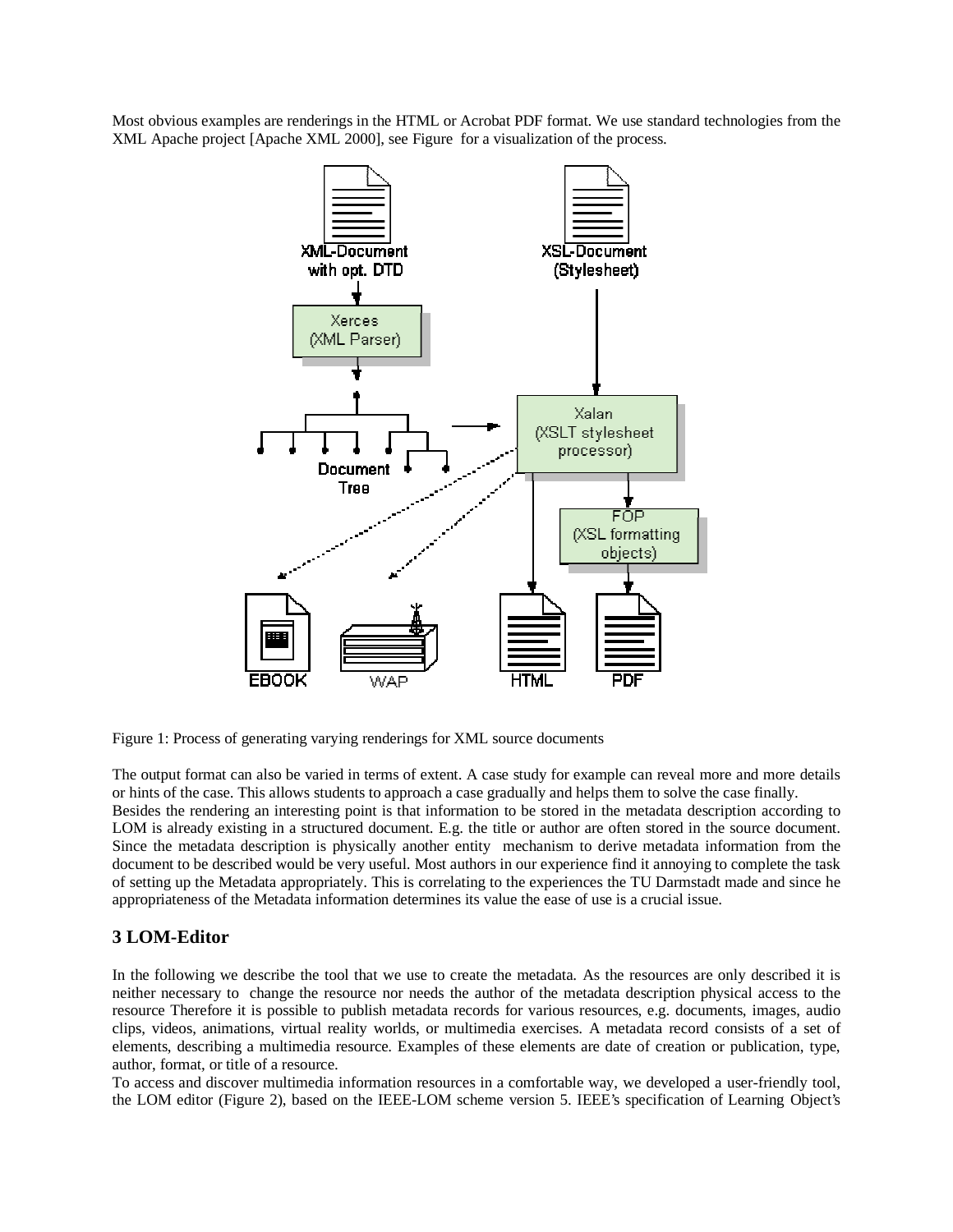Most obvious examples are renderings in the HTML or Acrobat PDF format. We use standard technologies from the XML Apache project [Apache XML 2000], see Figure for a visualization of the process.



Figure 1: Process of generating varying renderings for XML source documents

The output format can also be varied in terms of extent. A case study for example can reveal more and more details or hints of the case. This allows students to approach a case gradually and helps them to solve the case finally. Besides the rendering an interesting point is that information to be stored in the metadata description according to LOM is already existing in a structured document. E.g. the title or author are often stored in the source document. Since the metadata description is physically another entity mechanism to derive metadata information from the document to be described would be very useful. Most authors in our experience find it annoying to complete the task of setting up the Metadata appropriately. This is correlating to the experiences the TU Darmstadt made and since he appropriateness of the Metadata information determines its value the ease of use is a crucial issue.

## **3 LOM-Editor**

In the following we describe the tool that we use to create the metadata. As the resources are only described it is neither necessary to change the resource nor needs the author of the metadata description physical access to the resource Therefore it is possible to publish metadata records for various resources, e.g. documents, images, audio clips, videos, animations, virtual reality worlds, or multimedia exercises. A metadata record consists of a set of elements, describing a multimedia resource. Examples of these elements are date of creation or publication, type, author, format, or title of a resource.

To access and discover multimedia information resources in a comfortable way, we developed a user-friendly tool, the LOM editor (Figure 2), based on the IEEE-LOM scheme version 5. IEEE's specification of Learning Object's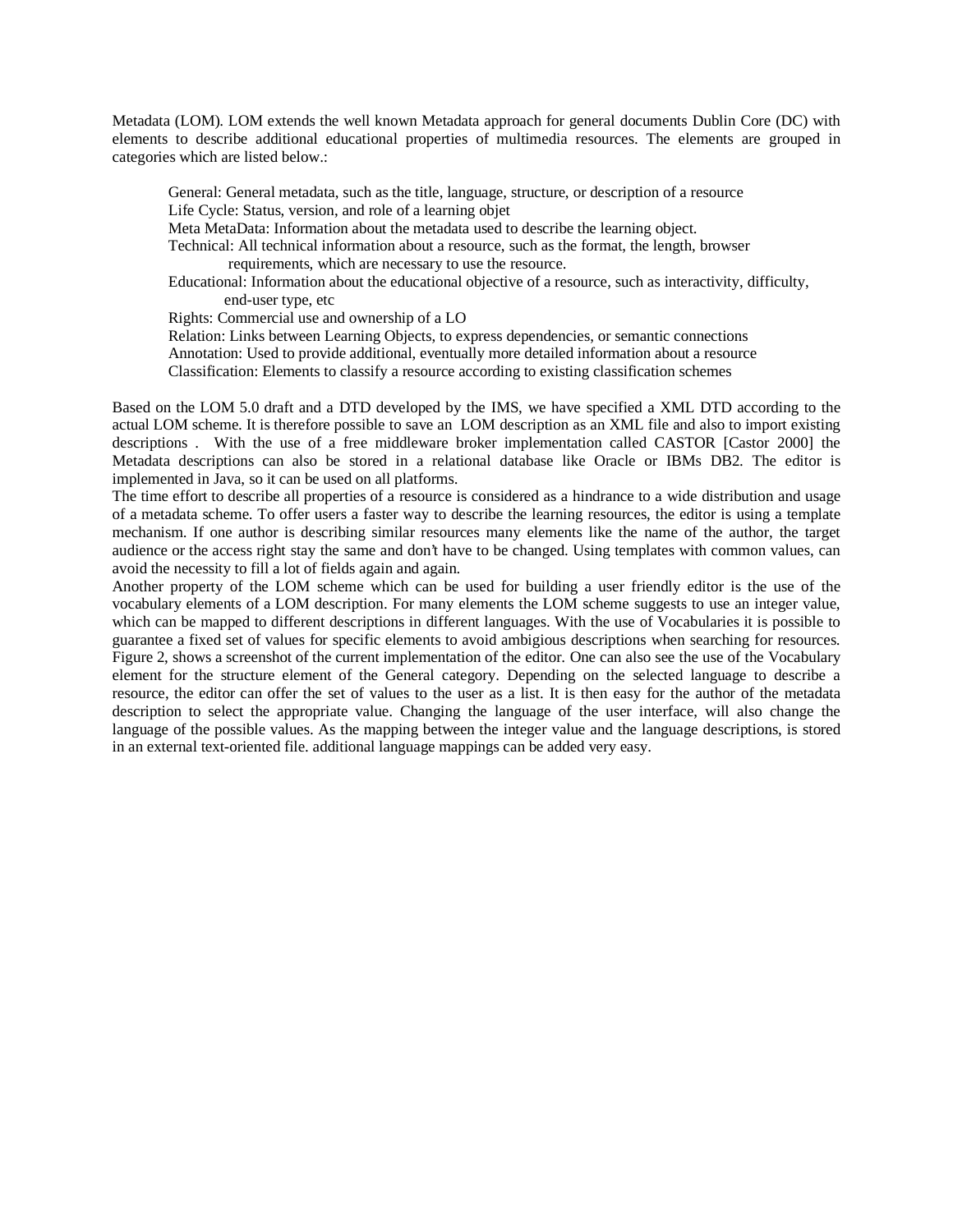Metadata (LOM). LOM extends the well known Metadata approach for general documents Dublin Core (DC) with elements to describe additional educational properties of multimedia resources. The elements are grouped in categories which are listed below.:

General: General metadata, such as the title, language, structure, or description of a resource Life Cycle: Status, version, and role of a learning objet Meta MetaData: Information about the metadata used to describe the learning object.

Technical: All technical information about a resource, such as the format, the length, browser

requirements, which are necessary to use the resource.

Educational: Information about the educational objective of a resource, such as interactivity, difficulty, end-user type, etc

Rights: Commercial use and ownership of a LO

Relation: Links between Learning Objects, to express dependencies, or semantic connections Annotation: Used to provide additional, eventually more detailed information about a resource Classification: Elements to classify a resource according to existing classification schemes

Based on the LOM 5.0 draft and a DTD developed by the IMS, we have specified a XML DTD according to the actual LOM scheme. It is therefore possible to save an LOM description as an XML file and also to import existing descriptions . With the use of a free middleware broker implementation called CASTOR [Castor 2000] the Metadata descriptions can also be stored in a relational database like Oracle or IBMs DB2. The editor is implemented in Java, so it can be used on all platforms.

The time effort to describe all properties of a resource is considered as a hindrance to a wide distribution and usage of a metadata scheme. To offer users a faster way to describe the learning resources, the editor is using a template mechanism. If one author is describing similar resources many elements like the name of the author, the target audience or the access right stay the same and don't have to be changed. Using templates with common values, can avoid the necessity to fill a lot of fields again and again.

Another property of the LOM scheme which can be used for building a user friendly editor is the use of the vocabulary elements of a LOM description. For many elements the LOM scheme suggests to use an integer value, which can be mapped to different descriptions in different languages. With the use of Vocabularies it is possible to guarantee a fixed set of values for specific elements to avoid ambigious descriptions when searching for resources. Figure 2, shows a screenshot of the current implementation of the editor. One can also see the use of the Vocabulary element for the structure element of the General category. Depending on the selected language to describe a resource, the editor can offer the set of values to the user as a list. It is then easy for the author of the metadata description to select the appropriate value. Changing the language of the user interface, will also change the language of the possible values. As the mapping between the integer value and the language descriptions, is stored in an external text-oriented file. additional language mappings can be added very easy.